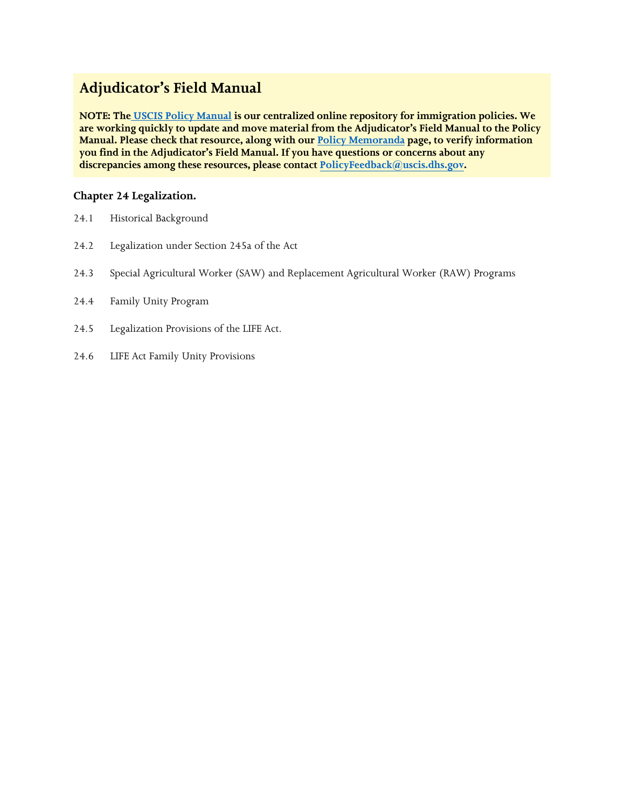# **Adjudicator's Field Manual**

**NOTE: The [USCIS Policy Manual](https://www.uscis.gov/policy-manual) is our centralized online repository for immigration policies. We are working quickly to update and move material from the Adjudicator's Field Manual to the Policy Manual. Please check that resource, along with our [Policy Memoranda](https://www.uscis.gov/legal-resources/policy-memoranda) page, to verify information you find in the Adjudicator's Field Manual. If you have questions or concerns about any discrepancies among these resources, please contact PolicyFeedback[@uscis.dhs.gov.](mailto:PolicyFeedback@uscis.dhs.gov)**

# **Chapter 24 Legalization.**

- 24.1 Historical Background
- 24.2 Legalization under Section 245a of the Act
- 24.3 Special Agricultural Worker (SAW) and Replacement Agricultural Worker (RAW) Programs
- 24.4 Family Unity Program
- 24.5 Legalization Provisions of the LIFE Act.
- 24.6 LIFE Act Family Unity Provisions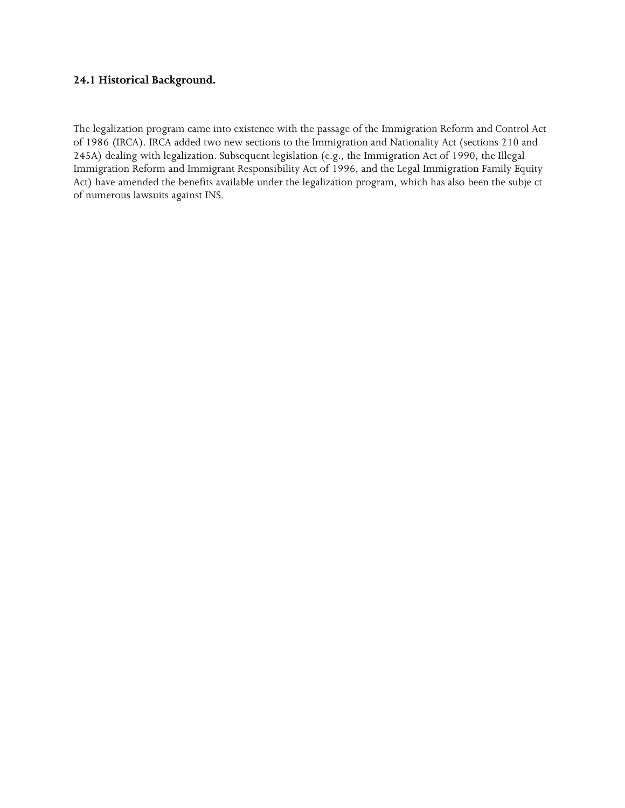### **24.1 Historical Background.**

 The legalization program came into existence with the passage of the Immigration Reform and Control Act 245A) dealing with legalization. Subsequent legislation (e.g., the Immigration Act of 1990, the Illegal of 1986 (IRCA). IRCA added two new sections to the Immigration and Nationality Act (sections 210 and Immigration Reform and Immigrant Responsibility Act of 1996, and the Legal Immigration Family Equity Act) have amended the benefits available under the legalization program, which has also been the subje ct of numerous lawsuits against INS.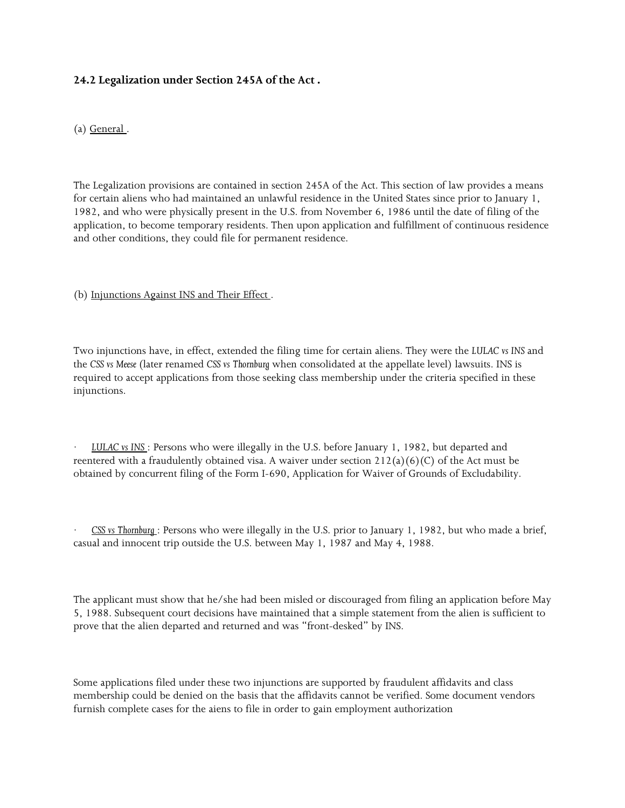# **24.2 Legalization under Section 245A of the Act .**

(a) General .

 The Legalization provisions are contained in section 245A of the Act. This section of law provides a means 1982, and who were physically present in the U.S. from November 6, 1986 until the date of filing of the application, to become temporary residents. Then upon application and fulfillment of continuous residence for certain aliens who had maintained an unlawful residence in the United States since prior to January 1, and other conditions, they could file for permanent residence.

### (b) Injunctions Against INS and Their Effect .

 the *CSS vs Meese* (later renamed *CSS vs Thornburg* when consolidated at the appellate level) lawsuits. INS is Two injunctions have, in effect, extended the filing time for certain aliens. They were the *LULAC vs INS* and required to accept applications from those seeking class membership under the criteria specified in these injunctions.

reentered with a fraudulently obtained visa. A waiver under section  $212(a)(6)(C)$  of the Act must be · *LULAC vs INS* : Persons who were illegally in the U.S. before January 1, 1982, but departed and obtained by concurrent filing of the Form I-690, Application for Waiver of Grounds of Excludability.

 casual and innocent trip outside the U.S. between May 1, 1987 and May 4, 1988. · *CSS vs Thornburg* : Persons who were illegally in the U.S. prior to January 1, 1982, but who made a brief,

 The applicant must show that he/she had been misled or discouraged from filing an application before May prove that the alien departed and returned and was "front-desked" by INS. 5, 1988. Subsequent court decisions have maintained that a simple statement from the alien is sufficient to

 furnish complete cases for the aiens to file in order to gain employment authorization Some applications filed under these two injunctions are supported by fraudulent affidavits and class membership could be denied on the basis that the affidavits cannot be verified. Some document vendors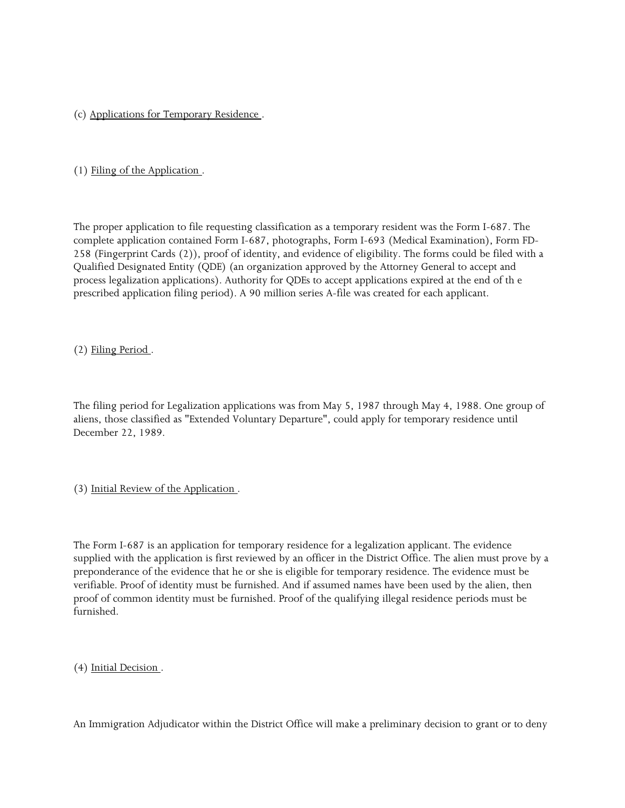(c) Applications for Temporary Residence .

### (1) Filing of the Application .

 258 (Fingerprint Cards (2)), proof of identity, and evidence of eligibility. The forms could be filed with a Qualified Designated Entity (QDE) (an organization approved by the Attorney General to accept and prescribed application filing period). A 90 million series A-file was created for each applicant. The proper application to file requesting classification as a temporary resident was the Form I-687. The complete application contained Form I-687, photographs, Form I-693 (Medical Examination), Form FDprocess legalization applications). Authority for QDEs to accept applications expired at the end of th e

(2) Filing Period .

 The filing period for Legalization applications was from May 5, 1987 through May 4, 1988. One group of aliens, those classified as "Extended Voluntary Departure", could apply for temporary residence until December 22, 1989.

### (3) Initial Review of the Application .

 preponderance of the evidence that he or she is eligible for temporary residence. The evidence must be verifiable. Proof of identity must be furnished. And if assumed names have been used by the alien, then proof of common identity must be furnished. Proof of the qualifying illegal residence periods must be The Form I-687 is an application for temporary residence for a legalization applicant. The evidence supplied with the application is first reviewed by an officer in the District Office. The alien must prove by a furnished.

(4) Initial Decision .

An Immigration Adjudicator within the District Office will make a preliminary decision to grant or to deny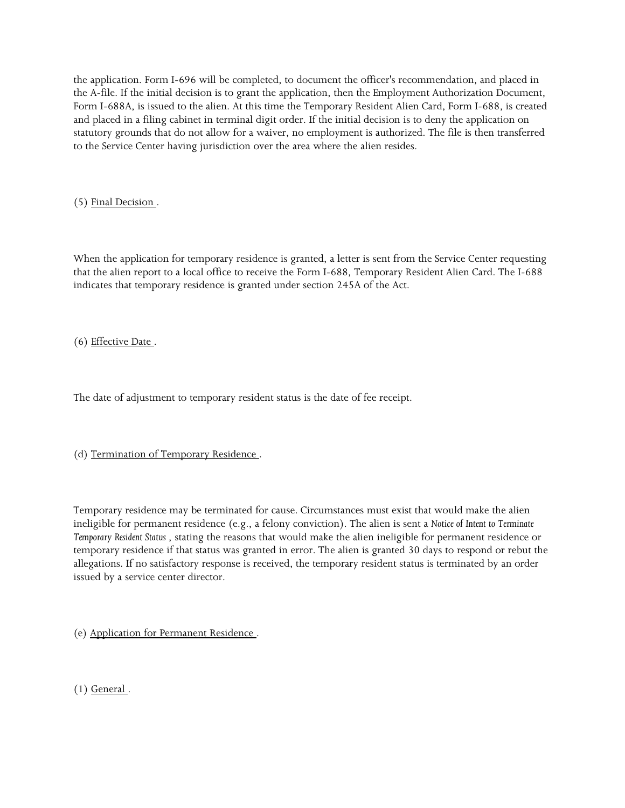Form I-688A, is issued to the alien. At this time the Temporary Resident Alien Card, Form I-688, is created statutory grounds that do not allow for a waiver, no employment is authorized. The file is then transferred the application. Form I-696 will be completed, to document the officer's recommendation, and placed in the A-file. If the initial decision is to grant the application, then the Employment Authorization Document, and placed in a filing cabinet in terminal digit order. If the initial decision is to deny the application on to the Service Center having jurisdiction over the area where the alien resides.

(5) Final Decision .

 When the application for temporary residence is granted, a letter is sent from the Service Center requesting indicates that temporary residence is granted under section 245A of the Act. that the alien report to a local office to receive the Form I-688, Temporary Resident Alien Card. The I-688

(6) Effective Date .

The date of adjustment to temporary resident status is the date of fee receipt.

(d) Termination of Temporary Residence .

 Temporary residence may be terminated for cause. Circumstances must exist that would make the alien ineligible for permanent residence (e.g., a felony conviction). The alien is sent a *Notice of Intent to Terminate*  issued by a service center director. *Temporary Resident Status* , stating the reasons that would make the alien ineligible for permanent residence or temporary residence if that status was granted in error. The alien is granted 30 days to respond or rebut the allegations. If no satisfactory response is received, the temporary resident status is terminated by an order

(e) Application for Permanent Residence .

 $(1)$  General.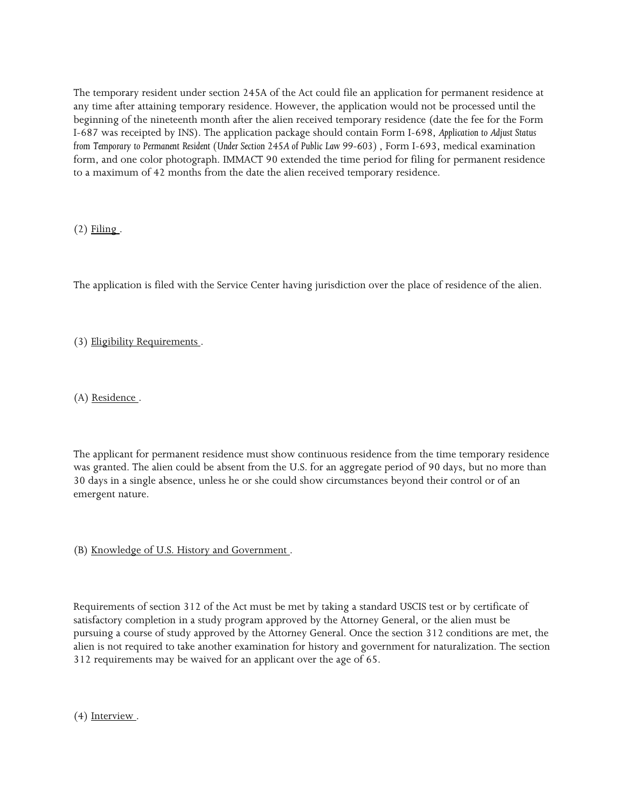The temporary resident under section 245A of the Act could file an application for permanent residence at any time after attaining temporary residence. However, the application would not be processed until the beginning of the nineteenth month after the alien received temporary residence (date the fee for the Form to a maximum of 42 months from the date the alien received temporary residence. I-687 was receipted by INS). The application package should contain Form I-698, *Application to Adjust Status from Temporary to Permanent Resident (Under Section 245A of Public Law 99-603)*, Form I-693, medical examination form, and one color photograph. IMMACT 90 extended the time period for filing for permanent residence

 $(2)$  Filing.

The application is filed with the Service Center having jurisdiction over the place of residence of the alien.

(3) Eligibility Requirements .

(A) Residence .

The applicant for permanent residence must show continuous residence from the time temporary residence was granted. The alien could be absent from the U.S. for an aggregate period of 90 days, but no more than 30 days in a single absence, unless he or she could show circumstances beyond their control or of an emergent nature.

(B) Knowledge of U.S. History and Government .

 satisfactory completion in a study program approved by the Attorney General, or the alien must be pursuing a course of study approved by the Attorney General. Once the section 312 conditions are met, the alien is not required to take another examination for history and government for naturalization. The section Requirements of section 312 of the Act must be met by taking a standard USCIS test or by certificate of 312 requirements may be waived for an applicant over the age of 65.

 $(4)$  Interview.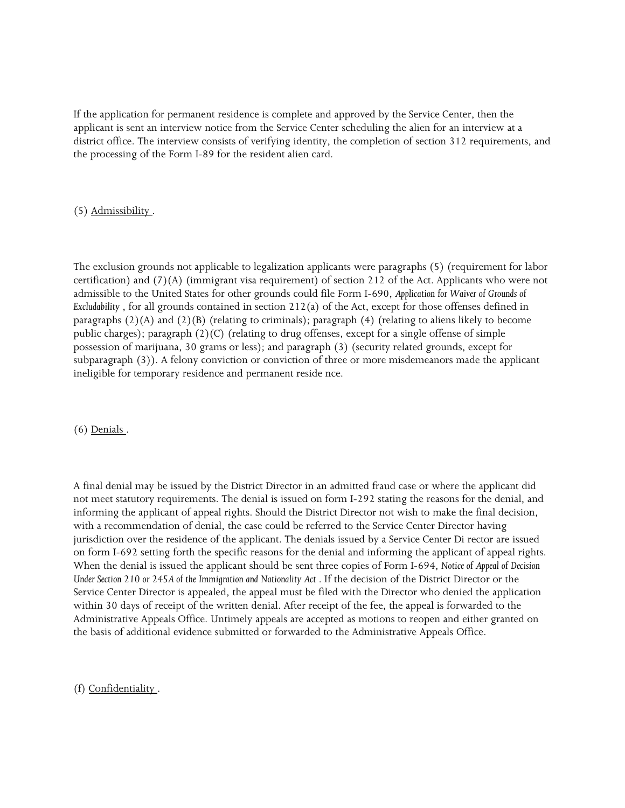If the application for permanent residence is complete and approved by the Service Center, then the applicant is sent an interview notice from the Service Center scheduling the alien for an interview at a district office. The interview consists of verifying identity, the completion of section 312 requirements, and the processing of the Form I-89 for the resident alien card.

### (5) Admissibility .

 admissible to the United States for other grounds could file Form I-690, *Application for Waiver of Grounds of Excludability* , for all grounds contained in section 212(a) of the Act, except for those offenses defined in public charges); paragraph (2)(C) (relating to drug offenses, except for a single offense of simple ineligible for temporary residence and permanent reside nce. The exclusion grounds not applicable to legalization applicants were paragraphs (5) (requirement for labor certification) and (7)(A) (immigrant visa requirement) of section 212 of the Act. Applicants who were not paragraphs (2)(A) and (2)(B) (relating to criminals); paragraph (4) (relating to aliens likely to become possession of marijuana, 30 grams or less); and paragraph (3) (security related grounds, except for subparagraph (3)). A felony conviction or conviction of three or more misdemeanors made the applicant

(6) Denials .

 informing the applicant of appeal rights. Should the District Director not wish to make the final decision, on form I-692 setting forth the specific reasons for the denial and informing the applicant of appeal rights.  When the denial is issued the applicant should be sent three copies of Form I-694, *Notice of Appeal of Decision Under Section 210 or 245A of the Immigration and Nationality Act* . If the decision of the District Director or the Administrative Appeals Office. Untimely appeals are accepted as motions to reopen and either granted on A final denial may be issued by the District Director in an admitted fraud case or where the applicant did not meet statutory requirements. The denial is issued on form I-292 stating the reasons for the denial, and with a recommendation of denial, the case could be referred to the Service Center Director having jurisdiction over the residence of the applicant. The denials issued by a Service Center Di rector are issued Service Center Director is appealed, the appeal must be filed with the Director who denied the application within 30 days of receipt of the written denial. After receipt of the fee, the appeal is forwarded to the the basis of additional evidence submitted or forwarded to the Administrative Appeals Office.

(f) Confidentiality .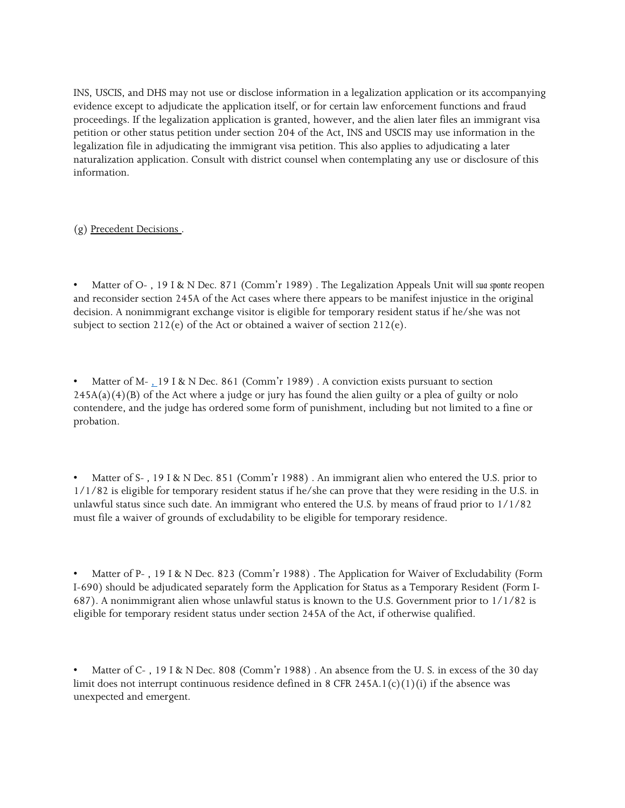INS, USCIS, and DHS may not use or disclose information in a legalization application or its accompanying evidence except to adjudicate the application itself, or for certain law enforcement functions and fraud proceedings. If the legalization application is granted, however, and the alien later files an immigrant visa petition or other status petition under section 204 of the Act, INS and USCIS may use information in the legalization file in adjudicating the immigrant visa petition. This also applies to adjudicating a later naturalization application. Consult with district counsel when contemplating any use or disclosure of this information.

(g) Precedent Decisions .

 and reconsider section 245A of the Act cases where there appears to be manifest injustice in the original subject to section  $212(e)$  of the Act or obtained a waiver of section  $212(e)$ . • Matter of O- , 19 I & N Dec. 871 (Comm'r 1989) . The Legalization Appeals Unit will *sua sponte* reopen decision. A nonimmigrant exchange visitor is eligible for temporary resident status if he/she was not

 245A(a)(4)(B) of the Act where a judge or jury has found the alien guilty or a plea of guilty or nolo contendere, and the judge has ordered some form of punishment, including but not limited to a fine or Matter of M- $_{2}$  19 I & N Dec. 861 (Comm'r 1989). A conviction exists pursuant to section probation.

 1/1/82 is eligible for temporary resident status if he/she can prove that they were residing in the U.S. in Matter of S-, 19 I & N Dec. 851 (Comm'r 1988). An immigrant alien who entered the U.S. prior to unlawful status since such date. An immigrant who entered the U.S. by means of fraud prior to 1/1/82 must file a waiver of grounds of excludability to be eligible for temporary residence.

• Matter of P-, 19 I & N Dec. 823 (Comm'r 1988). The Application for Waiver of Excludability (Form I-690) should be adjudicated separately form the Application for Status as a Temporary Resident (Form I-687). A nonimmigrant alien whose unlawful status is known to the U.S. Government prior to 1/1/82 is eligible for temporary resident status under section 245A of the Act, if otherwise qualified.

limit does not interrupt continuous residence defined in 8 CFR 245A.1(c)(1)(i) if the absence was Matter of C-, 19 I & N Dec. 808 (Comm'r 1988). An absence from the U.S. in excess of the 30 day unexpected and emergent.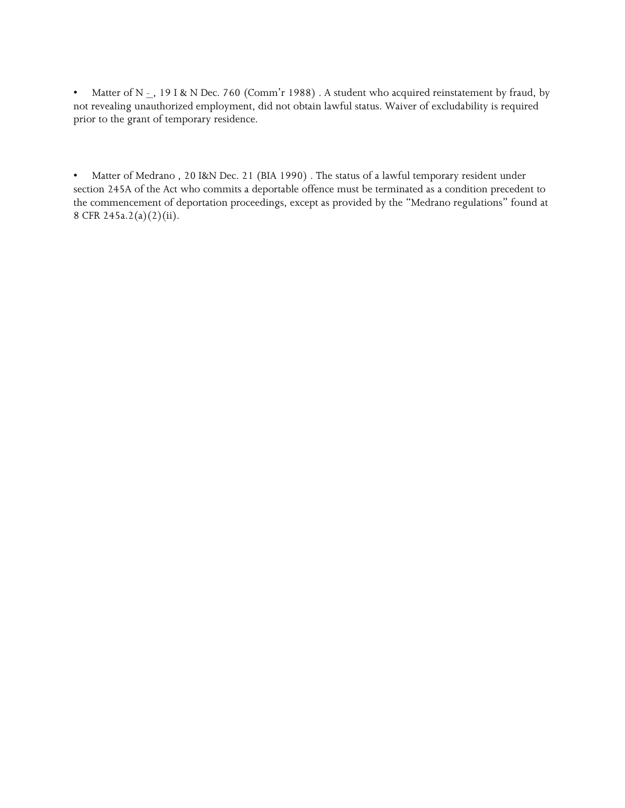not revealing unauthorized employment, did not obtain lawful status. Waiver of excludability is required • Matter of N  $_{-}$ , 19 I & N Dec. 760 (Comm'r 1988) . A student who acquired reinstatement by fraud, by prior to the grant of temporary residence.

 $\bullet$  . section 245A of the Act who commits a deportable offence must be terminated as a condition precedent to the commencement of deportation proceedings, except as provided by the "Medrano regulations" found at • Matter of Medrano , 20 I&N Dec. 21 (BIA 1990) . The status of a lawful temporary resident under 8 CFR 245a.2(a)(2)(ii).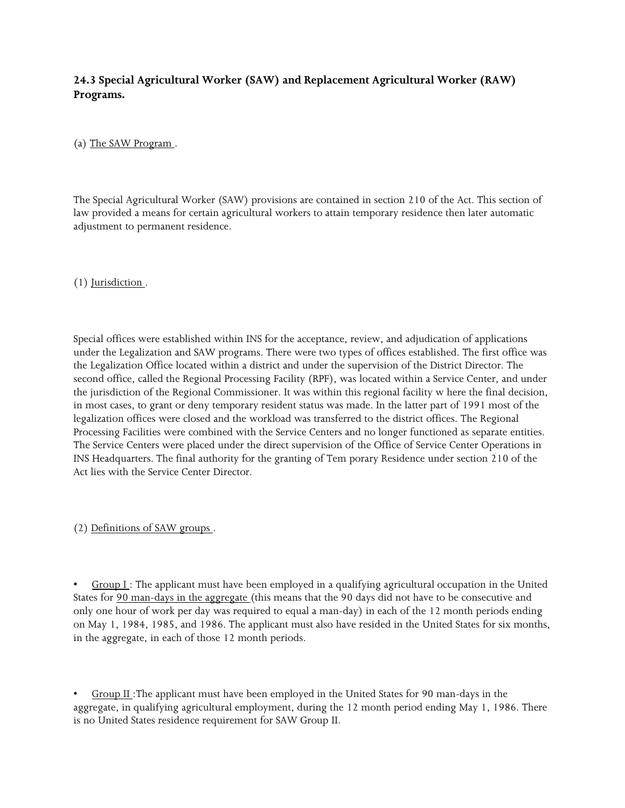# **24.3 Special Agricultural Worker (SAW) and Replacement Agricultural Worker (RAW) Programs.**

(a) The SAW Program .

The Special Agricultural Worker (SAW) provisions are contained in section 210 of the Act. This section of law provided a means for certain agricultural workers to attain temporary residence then later automatic adjustment to permanent residence.

(1) Jurisdiction .

 the Legalization Office located within a district and under the supervision of the District Director. The the jurisdiction of the Regional Commissioner. It was within this regional facility w here the final decision, in most cases, to grant or deny temporary resident status was made. In the latter part of 1991 most of the INS Headquarters. The final authority for the granting of Tem porary Residence under section 210 of the Act lies with the Service Center Director. Special offices were established within INS for the acceptance, review, and adjudication of applications under the Legalization and SAW programs. There were two types of offices established. The first office was second office, called the Regional Processing Facility (RPF), was located within a Service Center, and under legalization offices were closed and the workload was transferred to the district offices. The Regional Processing Facilities were combined with the Service Centers and no longer functioned as separate entities. The Service Centers were placed under the direct supervision of the Office of Service Center Operations in

(2) Definitions of SAW groups .

 only one hour of work per day was required to equal a man-day) in each of the 12 month periods ending on May 1, 1984, 1985, and 1986. The applicant must also have resided in the United States for six months, in the aggregate, in each of those 12 month periods. Group  $I$ : The applicant must have been employed in a qualifying agricultural occupation in the United States for 90 man-days in the aggregate (this means that the 90 days did not have to be consecutive and

Group II :The applicant must have been employed in the United States for 90 man-days in the aggregate, in qualifying agricultural employment, during the 12 month period ending May 1, 1986. There is no United States residence requirement for SAW Group II.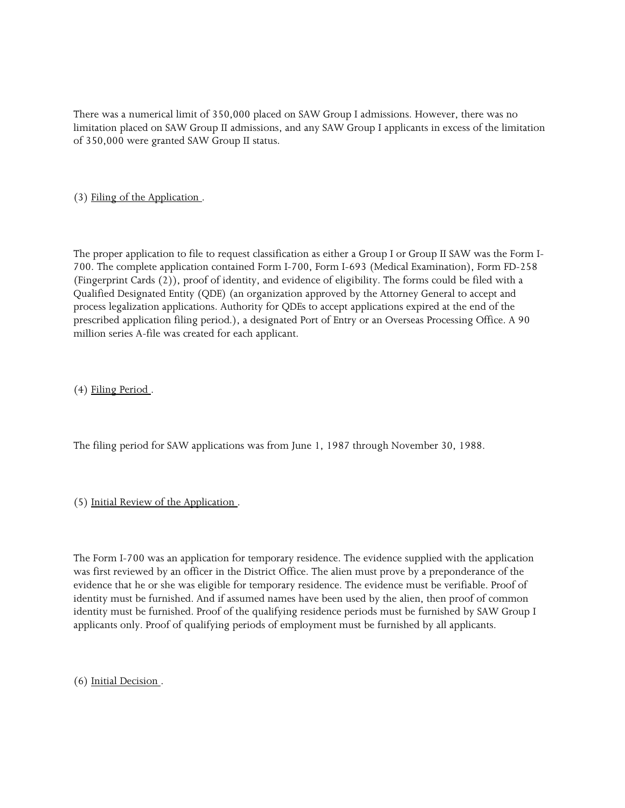There was a numerical limit of 350,000 placed on SAW Group I admissions. However, there was no limitation placed on SAW Group II admissions, and any SAW Group I applicants in excess of the limitation of 350,000 were granted SAW Group II status.

(3) Filing of the Application .

 The proper application to file to request classification as either a Group I or Group II SAW was the Form I- Qualified Designated Entity (QDE) (an organization approved by the Attorney General to accept and prescribed application filing period.), a designated Port of Entry or an Overseas Processing Office. A 90 700. The complete application contained Form I-700, Form I-693 (Medical Examination), Form FD-258 (Fingerprint Cards (2)), proof of identity, and evidence of eligibility. The forms could be filed with a process legalization applications. Authority for QDEs to accept applications expired at the end of the million series A-file was created for each applicant.

(4) Filing Period .

The filing period for SAW applications was from June 1, 1987 through November 30, 1988.

(5) Initial Review of the Application .

 evidence that he or she was eligible for temporary residence. The evidence must be verifiable. Proof of identity must be furnished. And if assumed names have been used by the alien, then proof of common identity must be furnished. Proof of the qualifying residence periods must be furnished by SAW Group I The Form I-700 was an application for temporary residence. The evidence supplied with the application was first reviewed by an officer in the District Office. The alien must prove by a preponderance of the applicants only. Proof of qualifying periods of employment must be furnished by all applicants.

(6) Initial Decision .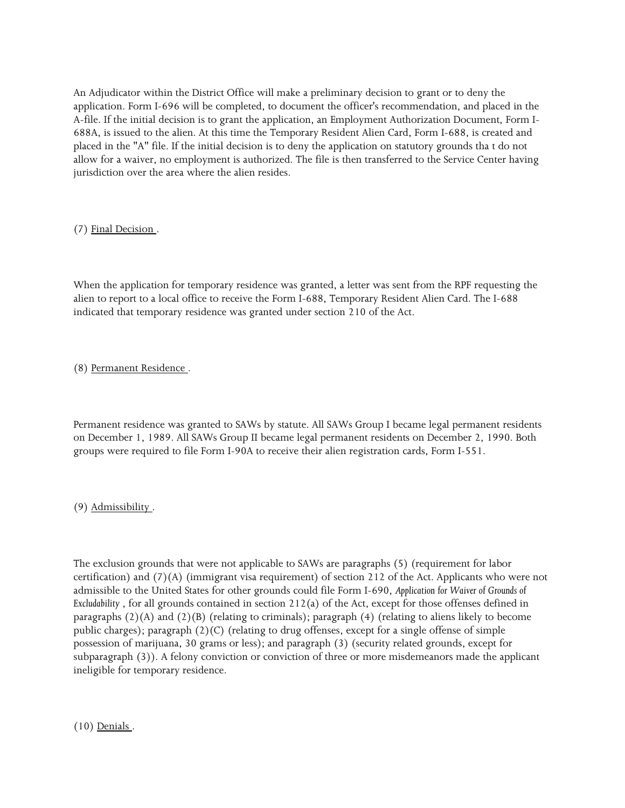An Adjudicator within the District Office will make a preliminary decision to grant or to deny the A-file. If the initial decision is to grant the application, an Employment Authorization Document, Form I- 688A, is issued to the alien. At this time the Temporary Resident Alien Card, Form I-688, is created and placed in the "A" file. If the initial decision is to deny the application on statutory grounds tha t do not allow for a waiver, no employment is authorized. The file is then transferred to the Service Center having application. Form I-696 will be completed, to document the officer's recommendation, and placed in the jurisdiction over the area where the alien resides.

(7) Final Decision .

 When the application for temporary residence was granted, a letter was sent from the RPF requesting the indicated that temporary residence was granted under section 210 of the Act. alien to report to a local office to receive the Form I-688, Temporary Resident Alien Card. The I-688

(8) Permanent Residence .

 Permanent residence was granted to SAWs by statute. All SAWs Group I became legal permanent residents on December 1, 1989. All SAWs Group II became legal permanent residents on December 2, 1990. Both groups were required to file Form I-90A to receive their alien registration cards, Form I-551.

(9) Admissibility .

 admissible to the United States for other grounds could file Form I-690, *Application for Waiver of Grounds of Excludability* , for all grounds contained in section 212(a) of the Act, except for those offenses defined in public charges); paragraph (2)(C) (relating to drug offenses, except for a single offense of simple The exclusion grounds that were not applicable to SAWs are paragraphs (5) (requirement for labor certification) and (7)(A) (immigrant visa requirement) of section 212 of the Act. Applicants who were not paragraphs  $(2)(A)$  and  $(2)(B)$  (relating to criminals); paragraph  $(4)$  (relating to aliens likely to become possession of marijuana, 30 grams or less); and paragraph (3) (security related grounds, except for subparagraph (3)). A felony conviction or conviction of three or more misdemeanors made the applicant ineligible for temporary residence.

(10) Denials .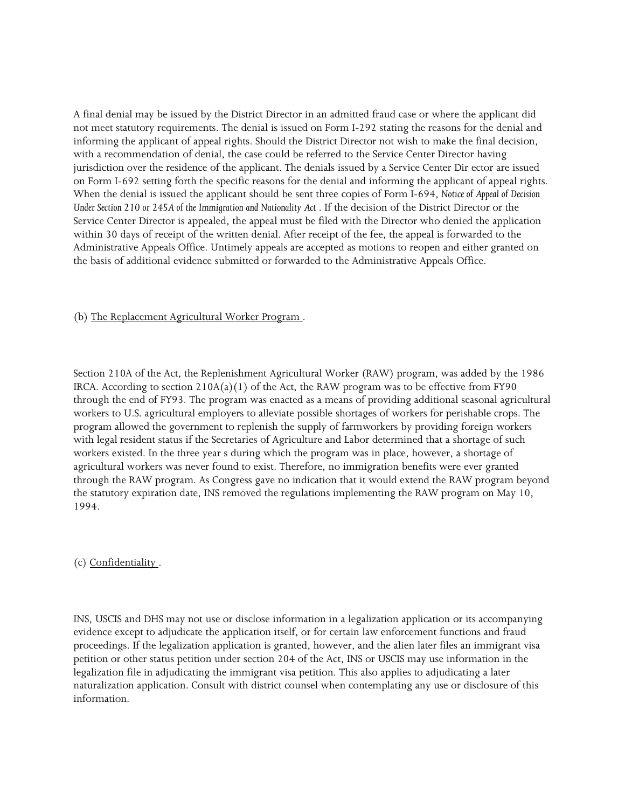not meet statutory requirements. The denial is issued on Form I-292 stating the reasons for the denial and informing the applicant of appeal rights. Should the District Director not wish to make the final decision, on Form I-692 setting forth the specific reasons for the denial and informing the applicant of appeal rights.  When the denial is issued the applicant should be sent three copies of Form I-694, *Notice of Appeal of Decision*  Under Section 210 or 245A of the Immigration and Nationality Act. If the decision of the District Director or the Administrative Appeals Office. Untimely appeals are accepted as motions to reopen and either granted on A final denial may be issued by the District Director in an admitted fraud case or where the applicant did with a recommendation of denial, the case could be referred to the Service Center Director having jurisdiction over the residence of the applicant. The denials issued by a Service Center Dir ector are issued Service Center Director is appealed, the appeal must be filed with the Director who denied the application within 30 days of receipt of the written denial. After receipt of the fee, the appeal is forwarded to the the basis of additional evidence submitted or forwarded to the Administrative Appeals Office.

#### (b) The Replacement Agricultural Worker Program .

 Section 210A of the Act, the Replenishment Agricultural Worker (RAW) program, was added by the 1986 workers to U.S. agricultural employers to alleviate possible shortages of workers for perishable crops. The with legal resident status if the Secretaries of Agriculture and Labor determined that a shortage of such workers existed. In the three year s during which the program was in place, however, a shortage of the statutory expiration date, INS removed the regulations implementing the RAW program on May 10, IRCA. According to section  $210A(a)(1)$  of the Act, the RAW program was to be effective from FY90 through the end of FY93. The program was enacted as a means of providing additional seasonal agricultural program allowed the government to replenish the supply of farmworkers by providing foreign workers agricultural workers was never found to exist. Therefore, no immigration benefits were ever granted through the RAW program. As Congress gave no indication that it would extend the RAW program beyond 1994.

(c) Confidentiality .

 INS, USCIS and DHS may not use or disclose information in a legalization application or its accompanying evidence except to adjudicate the application itself, or for certain law enforcement functions and fraud proceedings. If the legalization application is granted, however, and the alien later files an immigrant visa petition or other status petition under section 204 of the Act, INS or USCIS may use information in the legalization file in adjudicating the immigrant visa petition. This also applies to adjudicating a later naturalization application. Consult with district counsel when contemplating any use or disclosure of this information.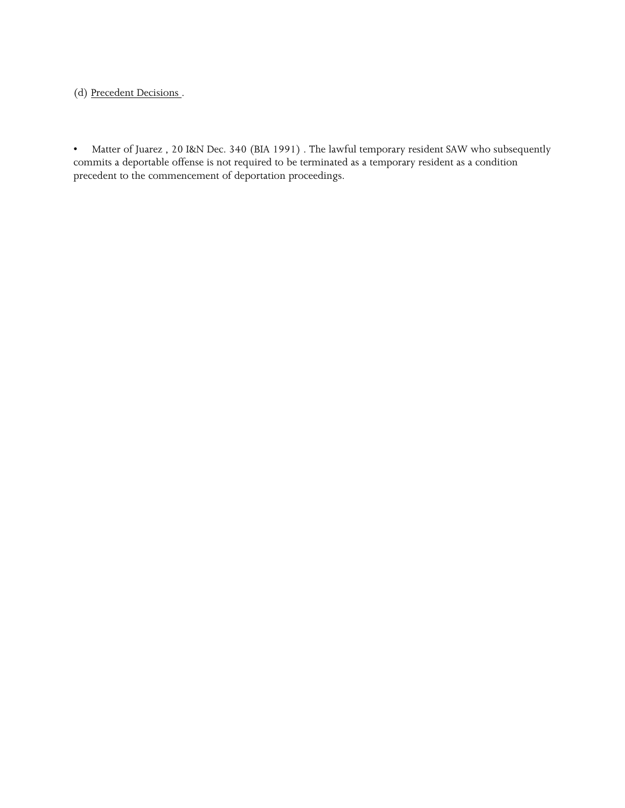(d) Precedent Decisions .

 $\bullet$  commits a deportable offense is not required to be terminated as a temporary resident as a condition • Matter of Juarez , 20 I&N Dec. 340 (BIA 1991) . The lawful temporary resident SAW who subsequently precedent to the commencement of deportation proceedings.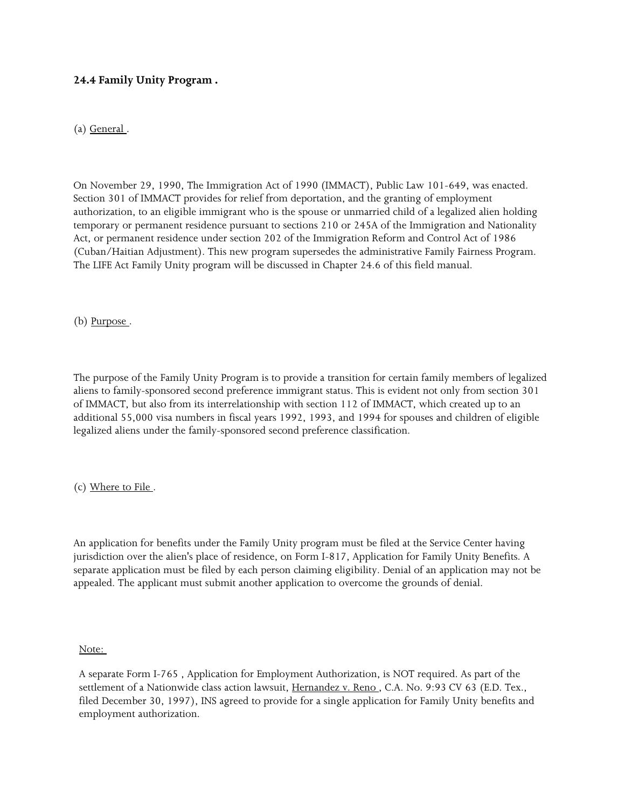### **24.4 Family Unity Program .**

(a) General .

 On November 29, 1990, The Immigration Act of 1990 (IMMACT), Public Law 101-649, was enacted. Section 301 of IMMACT provides for relief from deportation, and the granting of employment Act, or permanent residence under section 202 of the Immigration Reform and Control Act of 1986 authorization, to an eligible immigrant who is the spouse or unmarried child of a legalized alien holding temporary or permanent residence pursuant to sections 210 or 245A of the Immigration and Nationality (Cuban/Haitian Adjustment). This new program supersedes the administrative Family Fairness Program. The LIFE Act Family Unity program will be discussed in Chapter 24.6 of this field manual.

(b) Purpose .

 The purpose of the Family Unity Program is to provide a transition for certain family members of legalized aliens to family-sponsored second preference immigrant status. This is evident not only from section 301 of IMMACT, but also from its interrelationship with section 112 of IMMACT, which created up to an additional 55,000 visa numbers in fiscal years 1992, 1993, and 1994 for spouses and children of eligible legalized aliens under the family-sponsored second preference classification.

(c) Where to File .

 An application for benefits under the Family Unity program must be filed at the Service Center having jurisdiction over the alien's place of residence, on Form I-817, Application for Family Unity Benefits. A appealed. The applicant must submit another application to overcome the grounds of denial. separate application must be filed by each person claiming eligibility. Denial of an application may not be

Note:

 A separate Form I-765 , Application for Employment Authorization, is NOT required. As part of the settlement of a Nationwide class action lawsuit, Hernandez v. Reno, C.A. No. 9:93 CV 63 (E.D. Tex., filed December 30, 1997), INS agreed to provide for a single application for Family Unity benefits and employment authorization.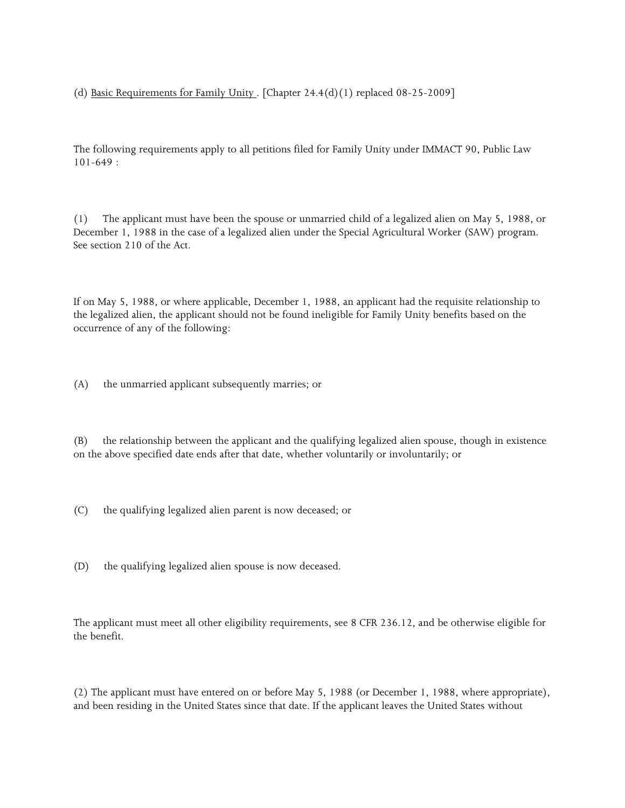(d) Basic Requirements for Family Unity . [Chapter  $24.4(d)(1)$  replaced 08-25-2009]

 The following requirements apply to all petitions filed for Family Unity under IMMACT 90, Public Law 101-649 :

 $(1)$  See section 210 of the Act. The applicant must have been the spouse or unmarried child of a legalized alien on May 5, 1988, or December 1, 1988 in the case of a legalized alien under the Special Agricultural Worker (SAW) program.

 the legalized alien, the applicant should not be found ineligible for Family Unity benefits based on the If on May 5, 1988, or where applicable, December 1, 1988, an applicant had the requisite relationship to occurrence of any of the following:

(A) the unmarried applicant subsequently marries; or

(B) the relationship between the applicant and the qualifying legalized alien spouse, though in existence on the above specified date ends after that date, whether voluntarily or involuntarily; or

- (C) the qualifying legalized alien parent is now deceased; or
- (D) the qualifying legalized alien spouse is now deceased.

 The applicant must meet all other eligibility requirements, see 8 CFR 236.12, and be otherwise eligible for the benefit.

 and been residing in the United States since that date. If the applicant leaves the United States without (2) The applicant must have entered on or before May 5, 1988 (or December 1, 1988, where appropriate),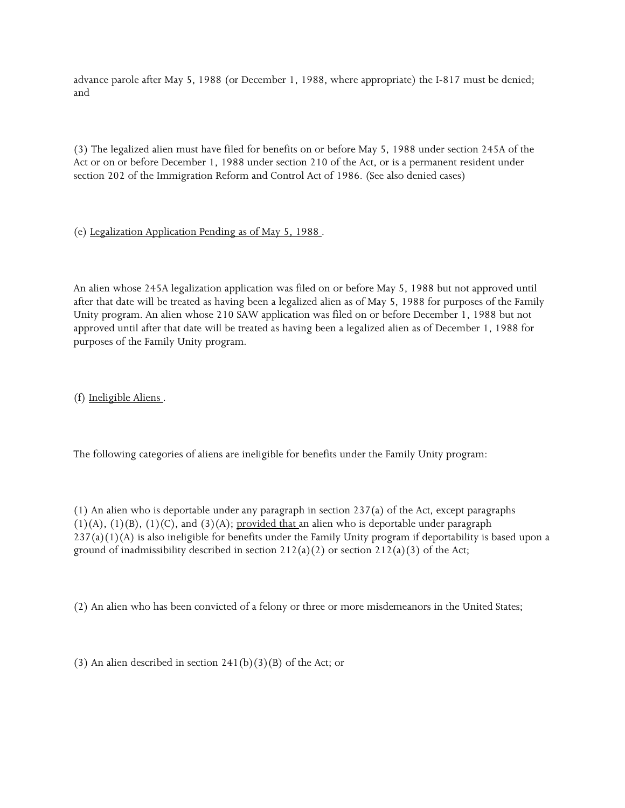advance parole after May 5, 1988 (or December 1, 1988, where appropriate) the I-817 must be denied; and

(3) The legalized alien must have filed for benefits on or before May 5, 1988 under section 245A of the Act or on or before December 1, 1988 under section 210 of the Act, or is a permanent resident under section 202 of the Immigration Reform and Control Act of 1986. (See also denied cases)

# (e) Legalization Application Pending as of May 5, 1988 .

 after that date will be treated as having been a legalized alien as of May 5, 1988 for purposes of the Family An alien whose 245A legalization application was filed on or before May 5, 1988 but not approved until Unity program. An alien whose 210 SAW application was filed on or before December 1, 1988 but not approved until after that date will be treated as having been a legalized alien as of December 1, 1988 for purposes of the Family Unity program.

(f) Ineligible Aliens .

The following categories of aliens are ineligible for benefits under the Family Unity program:

ground of inadmissibility described in section  $212(a)(2)$  or section  $212(a)(3)$  of the Act; (1) An alien who is deportable under any paragraph in section 237(a) of the Act, except paragraphs  $(1)(A)$ ,  $(1)(B)$ ,  $(1)(C)$ , and  $(3)(A)$ ; provided that an alien who is deportable under paragraph  $237(a)(1)(A)$  is also ineligible for benefits under the Family Unity program if deportability is based upon a

(2) An alien who has been convicted of a felony or three or more misdemeanors in the United States;

(3) An alien described in section  $241(b)(3)(B)$  of the Act; or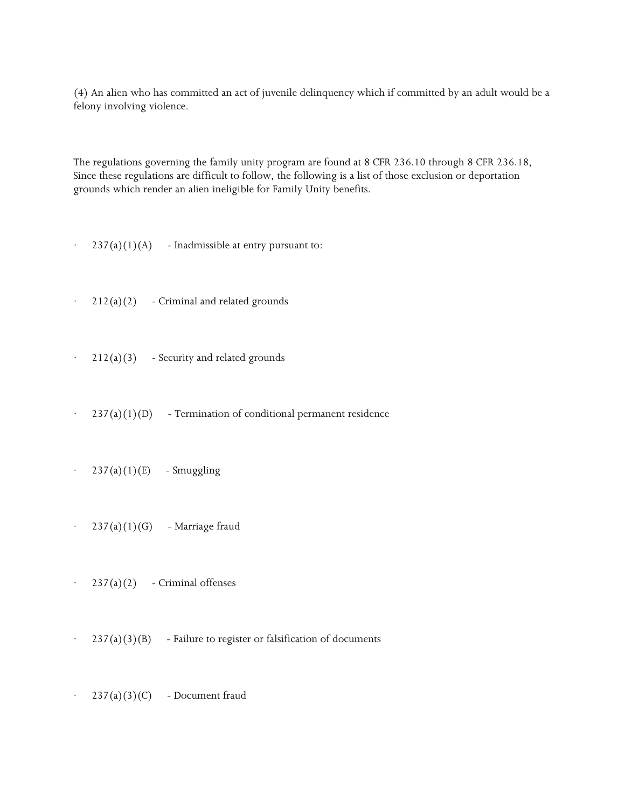(4) An alien who has committed an act of juvenile delinquency which if committed by an adult would be a felony involving violence.

 The regulations governing the family unity program are found at 8 CFR 236.10 through 8 CFR 236.18, Since these regulations are difficult to follow, the following is a list of those exclusion or deportation grounds which render an alien ineligible for Family Unity benefits.

- $\cdot$  237(a)(1)(A) Inadmissible at entry pursuant to:
- $\cdot$  212(a)(2) Criminal and related grounds
- $\cdot$  212(a)(3) Security and related grounds
- $237(a)(1)(D)$  Termination of conditional permanent residence
- $\cdot$  237(a)(1)(E) Smuggling
- $\cdot$  237(a)(1)(G) Marriage fraud
- $237(a)(2)$  Criminal offenses
- $\cdot$  237(a)(3)(B) Failure to register or falsification of documents
- $\cdot$  237(a)(3)(C) Document fraud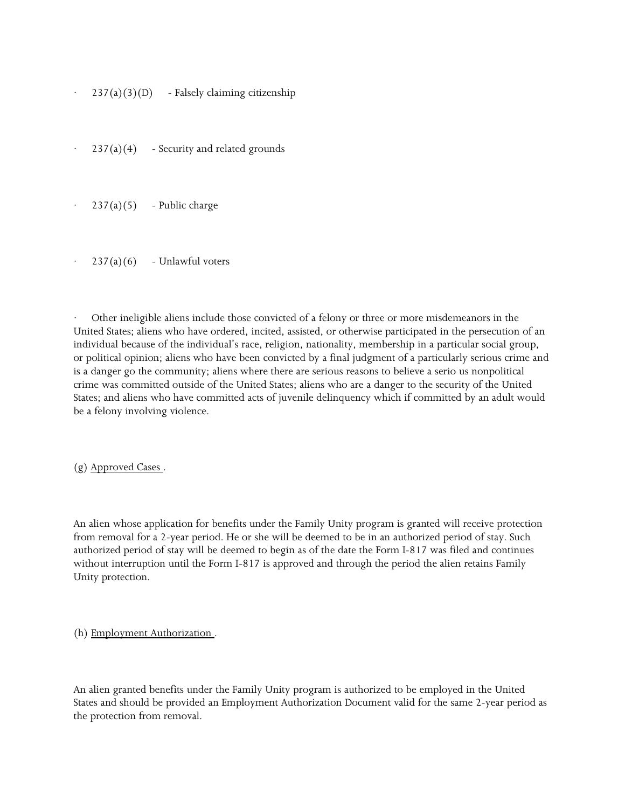- $237(a)(3)(D)$  Falsely claiming citizenship
- $237(a)(4)$  Security and related grounds
- $237(a)(5)$  Public charge
- $237(a)(6)$  Unlawful voters

 United States; aliens who have ordered, incited, assisted, or otherwise participated in the persecution of an is a danger go the community; aliens where there are serious reasons to believe a serio us nonpolitical · Other ineligible aliens include those convicted of a felony or three or more misdemeanors in the individual because of the individual's race, religion, nationality, membership in a particular social group, or political opinion; aliens who have been convicted by a final judgment of a particularly serious crime and crime was committed outside of the United States; aliens who are a danger to the security of the United States; and aliens who have committed acts of juvenile delinquency which if committed by an adult would be a felony involving violence.

(g) Approved Cases .

 from removal for a 2-year period. He or she will be deemed to be in an authorized period of stay. Such authorized period of stay will be deemed to begin as of the date the Form I-817 was filed and continues without interruption until the Form I-817 is approved and through the period the alien retains Family An alien whose application for benefits under the Family Unity program is granted will receive protection Unity protection.

(h) Employment Authorization .

 the protection from removal. An alien granted benefits under the Family Unity program is authorized to be employed in the United States and should be provided an Employment Authorization Document valid for the same 2-year period as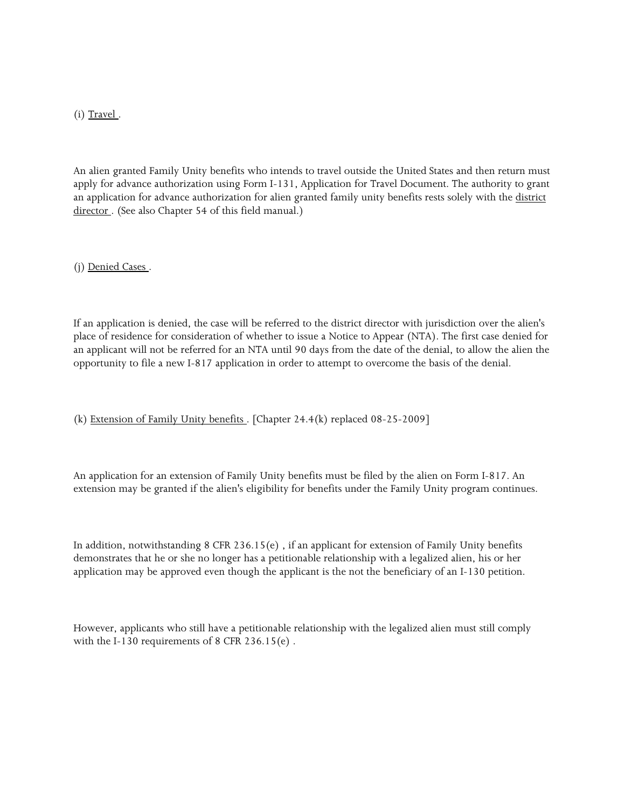(i) Travel.

director . (See also Chapter 54 of this field manual.) An alien granted Family Unity benefits who intends to travel outside the United States and then return must apply for advance authorization using Form I-131, Application for Travel Document. The authority to grant an application for advance authorization for alien granted family unity benefits rests solely with the district

(j) Denied Cases .

 an applicant will not be referred for an NTA until 90 days from the date of the denial, to allow the alien the opportunity to file a new I-817 application in order to attempt to overcome the basis of the denial. If an application is denied, the case will be referred to the district director with jurisdiction over the alien's place of residence for consideration of whether to issue a Notice to Appear (NTA). The first case denied for

(k) Extension of Family Unity benefits . [Chapter 24.4(k) replaced 08-25-2009]

 extension may be granted if the alien's eligibility for benefits under the Family Unity program continues. An application for an extension of Family Unity benefits must be filed by the alien on Form I-817. An

In addition, notwithstanding 8 CFR 236.15(e) , if an applicant for extension of Family Unity benefits demonstrates that he or she no longer has a petitionable relationship with a legalized alien, his or her application may be approved even though the applicant is the not the beneficiary of an I-130 petition.

However, applicants who still have a petitionable relationship with the legalized alien must still comply with the I-130 requirements of 8 CFR 236.15(e) .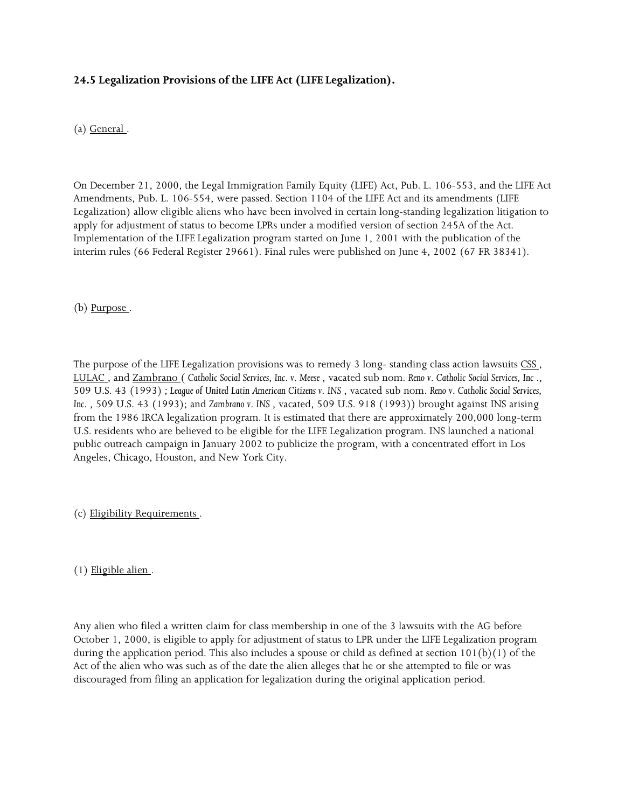# **24.5 Legalization Provisions of the LIFE Act (LIFE Legalization).**

(a) General .

 apply for adjustment of status to become LPRs under a modified version of section 245A of the Act. On December 21, 2000, the Legal Immigration Family Equity (LIFE) Act, Pub. L. 106-553, and the LIFE Act Amendments, Pub. L. 106-554, were passed. Section 1104 of the LIFE Act and its amendments (LIFE Legalization) allow eligible aliens who have been involved in certain long-standing legalization litigation to Implementation of the LIFE Legalization program started on June 1, 2001 with the publication of the interim rules (66 Federal Register 29661). Final rules were published on June 4, 2002 (67 FR 38341).

(b) Purpose .

 LULAC , and Zambrano ( *Catholic Social Services, Inc. v. Meese* , vacated sub nom. *Reno v. Catholic Social Services, Inc* .,  509 U.S. 43 (1993) *; League of United Latin American Citizens v. INS* , vacated sub nom. *Reno v. Catholic Social Services,*  Angeles, Chicago, Houston, and New York City. The purpose of the LIFE Legalization provisions was to remedy 3 long-standing class action lawsuits CSS, *Inc.* , 509 U.S. 43 (1993); and *Zambrano v. INS* , vacated, 509 U.S. 918 (1993)) brought against INS arising from the 1986 IRCA legalization program. It is estimated that there are approximately 200,000 long-term U.S. residents who are believed to be eligible for the LIFE Legalization program. INS launched a national public outreach campaign in January 2002 to publicize the program, with a concentrated effort in Los

(c) Eligibility Requirements .

(1) Eligible alien .

 Any alien who filed a written claim for class membership in one of the 3 lawsuits with the AG before October 1, 2000, is eligible to apply for adjustment of status to LPR under the LIFE Legalization program during the application period. This also includes a spouse or child as defined at section 101(b)(1) of the Act of the alien who was such as of the date the alien alleges that he or she attempted to file or was discouraged from filing an application for legalization during the original application period.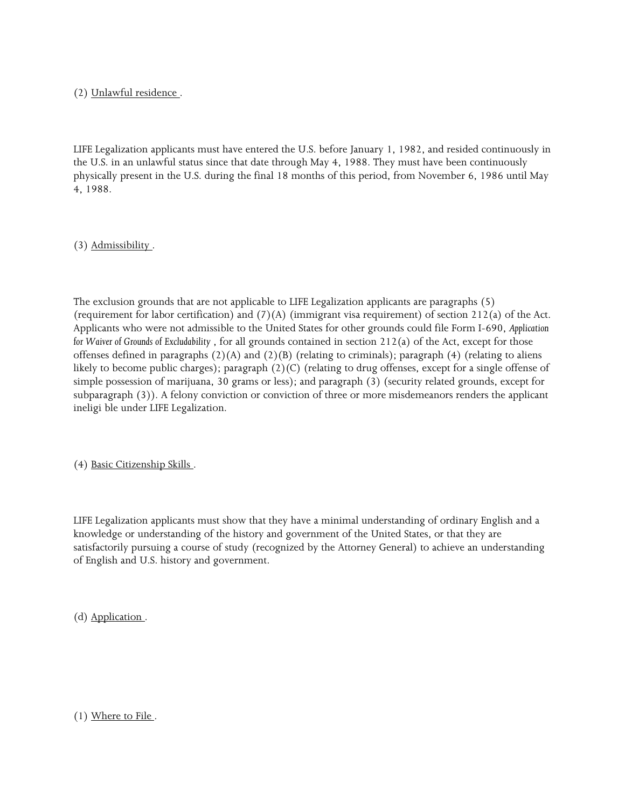# (2) Unlawful residence .

 the U.S. in an unlawful status since that date through May 4, 1988. They must have been continuously physically present in the U.S. during the final 18 months of this period, from November 6, 1986 until May LIFE Legalization applicants must have entered the U.S. before January 1, 1982, and resided continuously in 4, 1988.

(3) Admissibility .

 (requirement for labor certification) and (7)(A) (immigrant visa requirement) of section 212(a) of the Act.  *for Waiver of Grounds of Excludability* , for all grounds contained in section 212(a) of the Act, except for those The exclusion grounds that are not applicable to LIFE Legalization applicants are paragraphs (5) Applicants who were not admissible to the United States for other grounds could file Form I-690, *Application*  offenses defined in paragraphs  $(2)(A)$  and  $(2)(B)$  (relating to criminals); paragraph  $(4)$  (relating to aliens likely to become public charges); paragraph (2)(C) (relating to drug offenses, except for a single offense of simple possession of marijuana, 30 grams or less); and paragraph (3) (security related grounds, except for subparagraph (3)). A felony conviction or conviction of three or more misdemeanors renders the applicant ineligi ble under LIFE Legalization.

(4) Basic Citizenship Skills .

 knowledge or understanding of the history and government of the United States, or that they are LIFE Legalization applicants must show that they have a minimal understanding of ordinary English and a satisfactorily pursuing a course of study (recognized by the Attorney General) to achieve an understanding of English and U.S. history and government.

(d) Application .

(1) Where to File .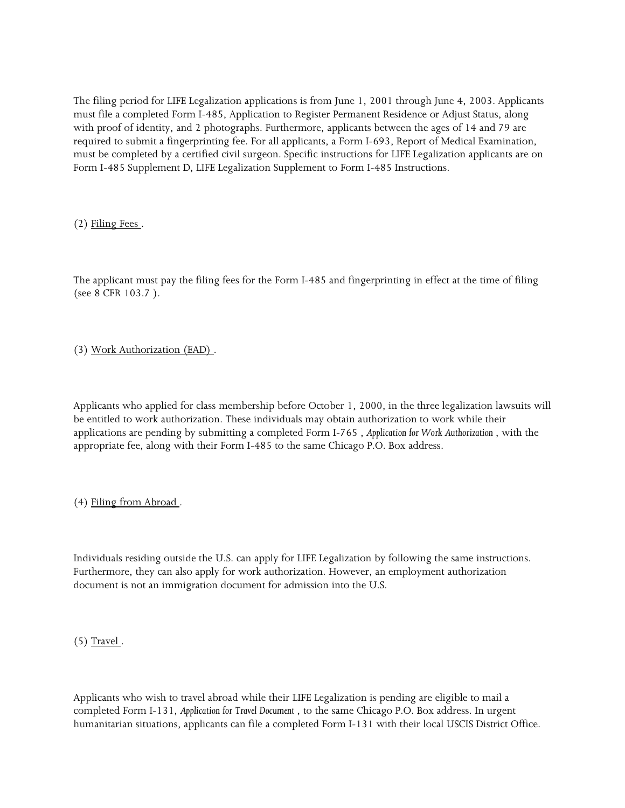The filing period for LIFE Legalization applications is from June 1, 2001 through June 4, 2003. Applicants required to submit a fingerprinting fee. For all applicants, a Form I-693, Report of Medical Examination, must file a completed Form I-485, Application to Register Permanent Residence or Adjust Status, along with proof of identity, and 2 photographs. Furthermore, applicants between the ages of 14 and 79 are must be completed by a certified civil surgeon. Specific instructions for LIFE Legalization applicants are on Form I-485 Supplement D, LIFE Legalization Supplement to Form I-485 Instructions.

(2) Filing Fees .

 The applicant must pay the filing fees for the Form I-485 and fingerprinting in effect at the time of filing (see 8 CFR 103.7 ).

(3) Work Authorization (EAD) .

 Applicants who applied for class membership before October 1, 2000, in the three legalization lawsuits will applications are pending by submitting a completed Form I-765 , *Application for Work Authorization* , with the appropriate fee, along with their Form I-485 to the same Chicago P.O. Box address. be entitled to work authorization. These individuals may obtain authorization to work while their

(4) Filing from Abroad .

Individuals residing outside the U.S. can apply for LIFE Legalization by following the same instructions. Furthermore, they can also apply for work authorization. However, an employment authorization document is not an immigration document for admission into the U.S.

 $(5)$  Travel.

Applicants who wish to travel abroad while their LIFE Legalization is pending are eligible to mail a completed Form I-131, *Application for Travel Document* , to the same Chicago P.O. Box address. In urgent humanitarian situations, applicants can file a completed Form I-131 with their local USCIS District Office.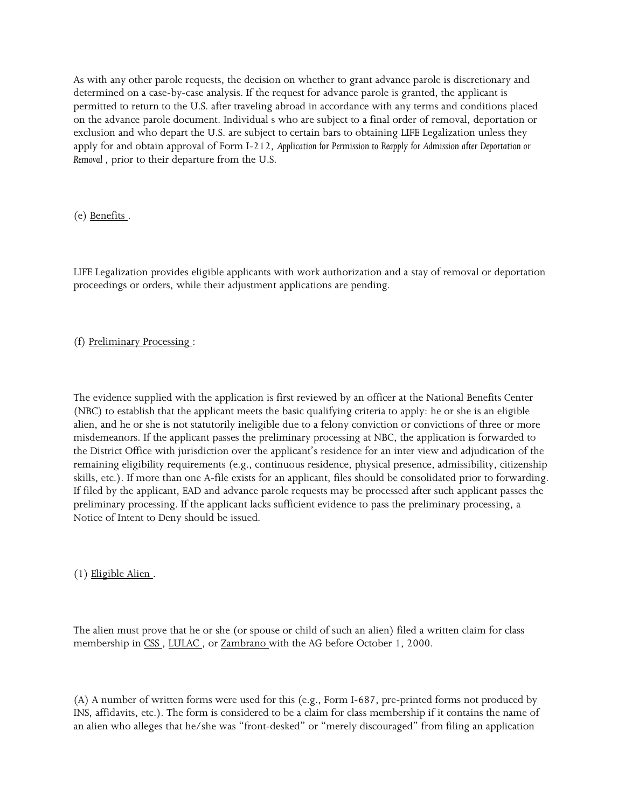determined on a case-by-case analysis. If the request for advance parole is granted, the applicant is permitted to return to the U.S. after traveling abroad in accordance with any terms and conditions placed exclusion and who depart the U.S. are subject to certain bars to obtaining LIFE Legalization unless they  apply for and obtain approval of Form I-212, *Application for Permission to Reapply for Admission after Deportation or*  As with any other parole requests, the decision on whether to grant advance parole is discretionary and on the advance parole document. Individual s who are subject to a final order of removal, deportation or *Removal* , prior to their departure from the U.S.

(e) Benefits .

 LIFE Legalization provides eligible applicants with work authorization and a stay of removal or deportation proceedings or orders, while their adjustment applications are pending.

# (f) Preliminary Processing :

 The evidence supplied with the application is first reviewed by an officer at the National Benefits Center (NBC) to establish that the applicant meets the basic qualifying criteria to apply: he or she is an eligible alien, and he or she is not statutorily ineligible due to a felony conviction or convictions of three or more the District Office with jurisdiction over the applicant's residence for an inter view and adjudication of the skills, etc.). If more than one A-file exists for an applicant, files should be consolidated prior to forwarding. If filed by the applicant, EAD and advance parole requests may be processed after such applicant passes the preliminary processing. If the applicant lacks sufficient evidence to pass the preliminary processing, a Notice of Intent to Deny should be issued. misdemeanors. If the applicant passes the preliminary processing at NBC, the application is forwarded to remaining eligibility requirements (e.g., continuous residence, physical presence, admissibility, citizenship

(1) Eligible Alien .

The alien must prove that he or she (or spouse or child of such an alien) filed a written claim for class membership in CSS, LULAC, or Zambrano with the AG before October 1, 2000.

(A) A number of written forms were used for this (e.g., Form I-687, pre-printed forms not produced by INS, affidavits, etc.). The form is considered to be a claim for class membership if it contains the name of an alien who alleges that he/she was "front-desked" or "merely discouraged" from filing an application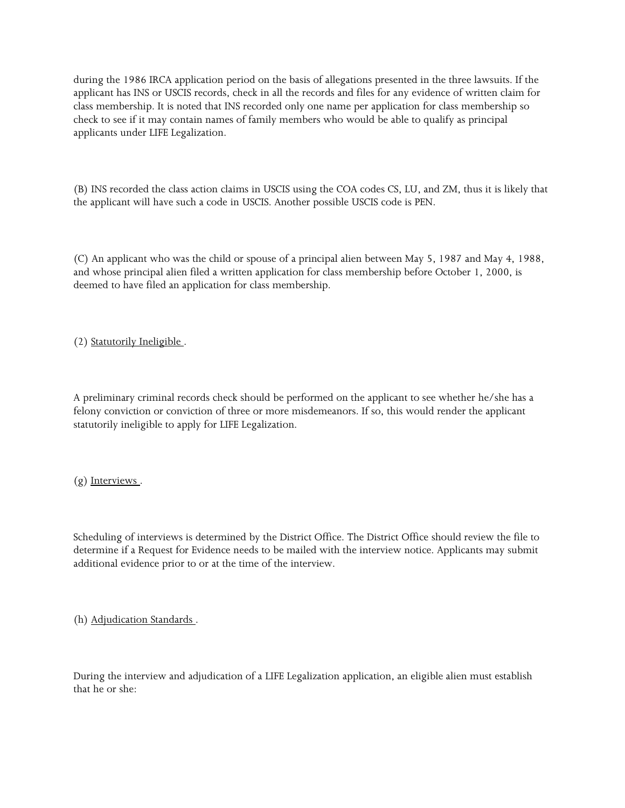check to see if it may contain names of family members who would be able to qualify as principal during the 1986 IRCA application period on the basis of allegations presented in the three lawsuits. If the applicant has INS or USCIS records, check in all the records and files for any evidence of written claim for class membership. It is noted that INS recorded only one name per application for class membership so applicants under LIFE Legalization.

 (B) INS recorded the class action claims in USCIS using the COA codes CS, LU, and ZM, thus it is likely that the applicant will have such a code in USCIS. Another possible USCIS code is PEN.

(C) An applicant who was the child or spouse of a principal alien between May 5, 1987 and May 4, 1988, and whose principal alien filed a written application for class membership before October 1, 2000, is deemed to have filed an application for class membership.

(2) Statutorily Ineligible .

 A preliminary criminal records check should be performed on the applicant to see whether he/she has a felony conviction or conviction of three or more misdemeanors. If so, this would render the applicant statutorily ineligible to apply for LIFE Legalization.

(g) Interviews .

 Scheduling of interviews is determined by the District Office. The District Office should review the file to additional evidence prior to or at the time of the interview. determine if a Request for Evidence needs to be mailed with the interview notice. Applicants may submit

(h) Adjudication Standards .

During the interview and adjudication of a LIFE Legalization application, an eligible alien must establish that he or she: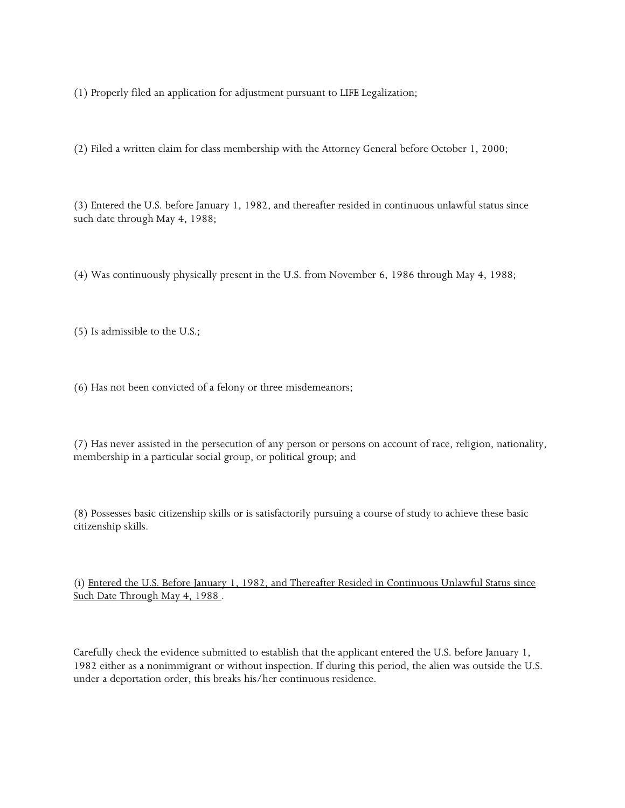(1) Properly filed an application for adjustment pursuant to LIFE Legalization;

(2) Filed a written claim for class membership with the Attorney General before October 1, 2000;

 (3) Entered the U.S. before January 1, 1982, and thereafter resided in continuous unlawful status since such date through May 4, 1988;

(4) Was continuously physically present in the U.S. from November 6, 1986 through May 4, 1988;

(5) Is admissible to the U.S.;

(6) Has not been convicted of a felony or three misdemeanors;

 (7) Has never assisted in the persecution of any person or persons on account of race, religion, nationality, membership in a particular social group, or political group; and

(8) Possesses basic citizenship skills or is satisfactorily pursuing a course of study to achieve these basic citizenship skills.

 (i) Entered the U.S. Before January 1, 1982, and Thereafter Resided in Continuous Unlawful Status since Such Date Through May 4, 1988.

 Carefully check the evidence submitted to establish that the applicant entered the U.S. before January 1, 1982 either as a nonimmigrant or without inspection. If during this period, the alien was outside the U.S. under a deportation order, this breaks his/her continuous residence.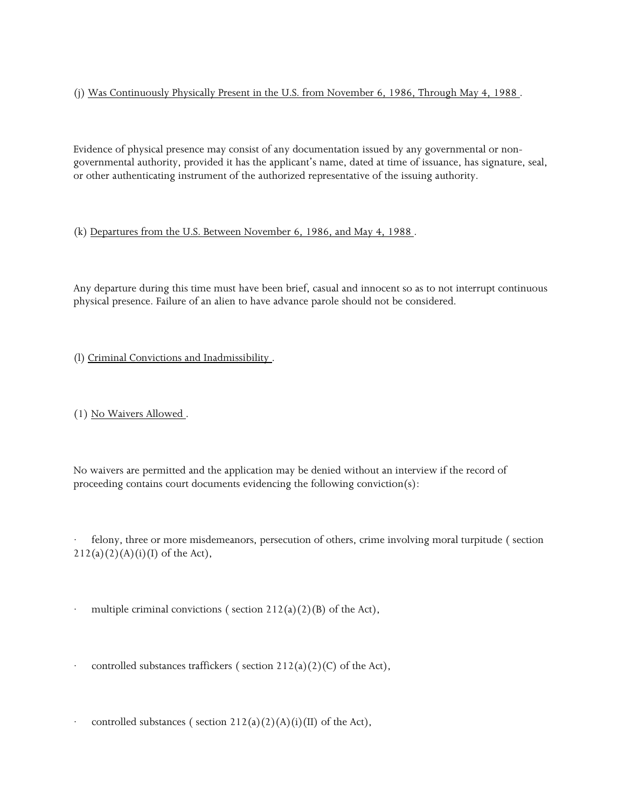(j) Was Continuously Physically Present in the U.S. from November 6, 1986, Through May 4, 1988 .

 Evidence of physical presence may consist of any documentation issued by any governmental or nongovernmental authority, provided it has the applicant's name, dated at time of issuance, has signature, seal, or other authenticating instrument of the authorized representative of the issuing authority.

(k) Departures from the U.S. Between November 6, 1986, and May 4, 1988 .

Any departure during this time must have been brief, casual and innocent so as to not interrupt continuous physical presence. Failure of an alien to have advance parole should not be considered.

(l) Criminal Convictions and Inadmissibility .

(1) No Waivers Allowed .

 No waivers are permitted and the application may be denied without an interview if the record of proceeding contains court documents evidencing the following conviction(s):

felony, three or more misdemeanors, persecution of others, crime involving moral turpitude (section  $212(a)(2)(A)(i)(I)$  of the Act),

multiple criminal convictions ( section  $212(a)(2)(B)$  of the Act),

controlled substances traffickers (section  $212(a)(2)(C)$  of the Act),

controlled substances ( section  $212(a)(2)(A)(i)(II)$  of the Act),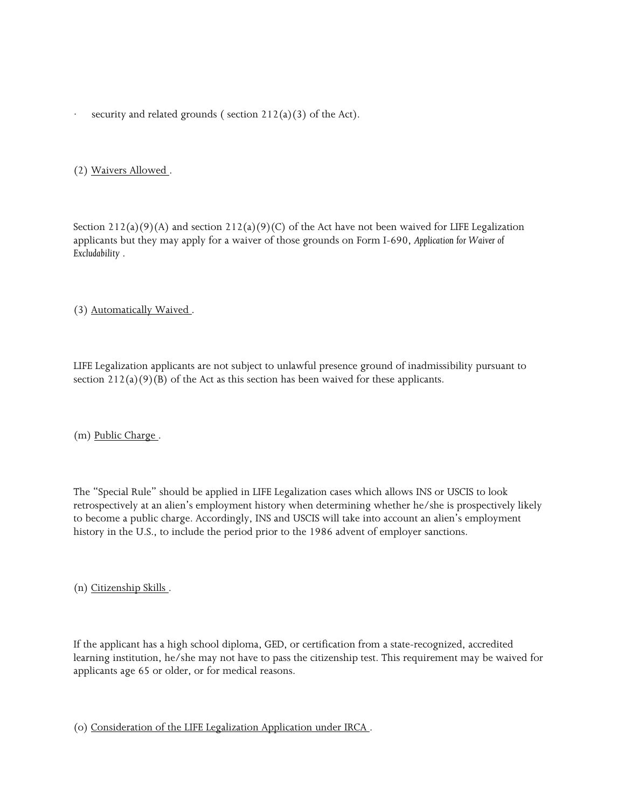security and related grounds ( section  $212(a)(3)$  of the Act).

### (2) Waivers Allowed .

 applicants but they may apply for a waiver of those grounds on Form I-690, *Application for Waiver of*  Section  $212(a)(9)(A)$  and section  $212(a)(9)(C)$  of the Act have not been waived for LIFE Legalization *Excludability* .

### (3) Automatically Waived .

 LIFE Legalization applicants are not subject to unlawful presence ground of inadmissibility pursuant to section  $212(a)(9)(B)$  of the Act as this section has been waived for these applicants.

(m) Public Charge .

 history in the U.S., to include the period prior to the 1986 advent of employer sanctions. The "Special Rule" should be applied in LIFE Legalization cases which allows INS or USCIS to look retrospectively at an alien's employment history when determining whether he/she is prospectively likely to become a public charge. Accordingly, INS and USCIS will take into account an alien's employment

(n) Citizenship Skills .

 learning institution, he/she may not have to pass the citizenship test. This requirement may be waived for applicants age 65 or older, or for medical reasons. If the applicant has a high school diploma, GED, or certification from a state-recognized, accredited

(o) Consideration of the LIFE Legalization Application under IRCA .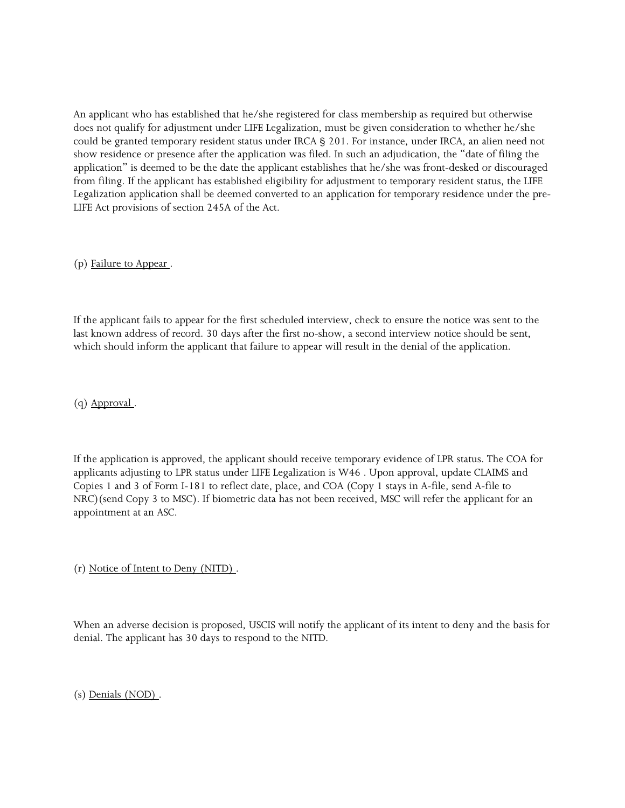An applicant who has established that he/she registered for class membership as required but otherwise does not qualify for adjustment under LIFE Legalization, must be given consideration to whether he/she could be granted temporary resident status under IRCA § 201. For instance, under IRCA, an alien need not show residence or presence after the application was filed. In such an adjudication, the "date of filing the LIFE Act provisions of section 245A of the Act. application" is deemed to be the date the applicant establishes that he/she was front-desked or discouraged from filing. If the applicant has established eligibility for adjustment to temporary resident status, the LIFE Legalization application shall be deemed converted to an application for temporary residence under the pre-

(p) Failure to Appear .

 If the applicant fails to appear for the first scheduled interview, check to ensure the notice was sent to the last known address of record. 30 days after the first no-show, a second interview notice should be sent, which should inform the applicant that failure to appear will result in the denial of the application.

(q) Approval .

 If the application is approved, the applicant should receive temporary evidence of LPR status. The COA for applicants adjusting to LPR status under LIFE Legalization is W46 . Upon approval, update CLAIMS and Copies 1 and 3 of Form I-181 to reflect date, place, and COA (Copy 1 stays in A-file, send A-file to NRC)(send Copy 3 to MSC). If biometric data has not been received, MSC will refer the applicant for an appointment at an ASC.

(r) Notice of Intent to Deny (NITD) .

 When an adverse decision is proposed, USCIS will notify the applicant of its intent to deny and the basis for denial. The applicant has 30 days to respond to the NITD.

(s) Denials (NOD) .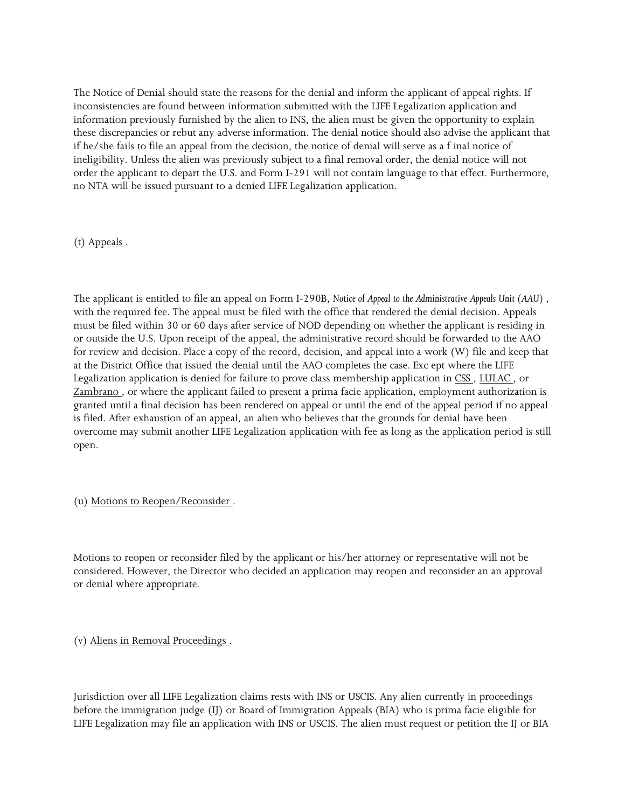information previously furnished by the alien to INS, the alien must be given the opportunity to explain these discrepancies or rebut any adverse information. The denial notice should also advise the applicant that if he/she fails to file an appeal from the decision, the notice of denial will serve as a f inal notice of The Notice of Denial should state the reasons for the denial and inform the applicant of appeal rights. If inconsistencies are found between information submitted with the LIFE Legalization application and ineligibility. Unless the alien was previously subject to a final removal order, the denial notice will not order the applicant to depart the U.S. and Form I-291 will not contain language to that effect. Furthermore, no NTA will be issued pursuant to a denied LIFE Legalization application.

### (t) Appeals .

 must be filed within 30 or 60 days after service of NOD depending on whether the applicant is residing in or outside the U.S. Upon receipt of the appeal, the administrative record should be forwarded to the AAO at the District Office that issued the denial until the AAO completes the case. Exc ept where the LIFE The applicant is entitled to file an appeal on Form I-290B, *Notice of Appeal to the Administrative Appeals Unit (AAU)* , with the required fee. The appeal must be filed with the office that rendered the denial decision. Appeals for review and decision. Place a copy of the record, decision, and appeal into a work (W) file and keep that Legalization application is denied for failure to prove class membership application in CSS , LULAC , or Zambrano , or where the applicant failed to present a prima facie application, employment authorization is granted until a final decision has been rendered on appeal or until the end of the appeal period if no appeal is filed. After exhaustion of an appeal, an alien who believes that the grounds for denial have been overcome may submit another LIFE Legalization application with fee as long as the application period is still open.

#### (u) Motions to Reopen/Reconsider .

 Motions to reopen or reconsider filed by the applicant or his/her attorney or representative will not be considered. However, the Director who decided an application may reopen and reconsider an an approval or denial where appropriate.

#### (v) Aliens in Removal Proceedings .

 LIFE Legalization may file an application with INS or USCIS. The alien must request or petition the IJ or BIA Jurisdiction over all LIFE Legalization claims rests with INS or USCIS. Any alien currently in proceedings before the immigration judge (IJ) or Board of Immigration Appeals (BIA) who is prima facie eligible for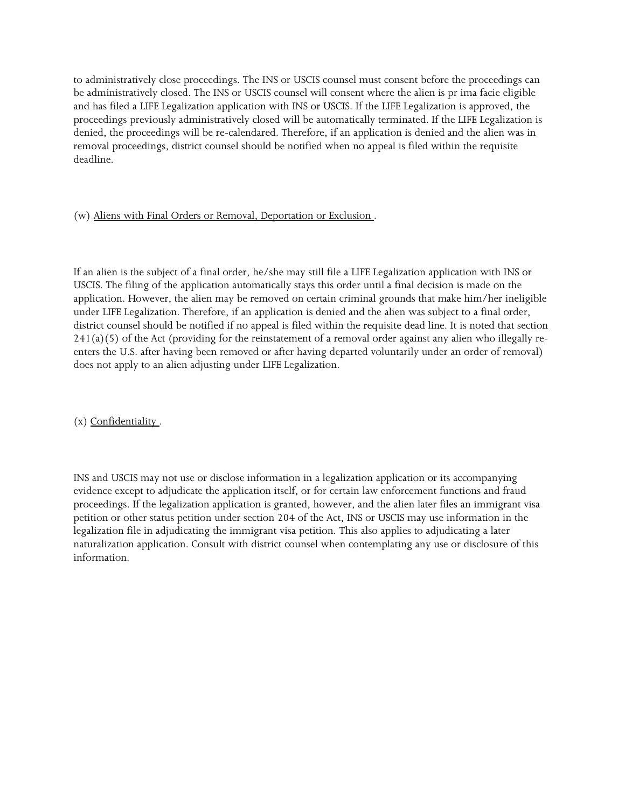be administratively closed. The INS or USCIS counsel will consent where the alien is pr ima facie eligible proceedings previously administratively closed will be automatically terminated. If the LIFE Legalization is removal proceedings, district counsel should be notified when no appeal is filed within the requisite to administratively close proceedings. The INS or USCIS counsel must consent before the proceedings can and has filed a LIFE Legalization application with INS or USCIS. If the LIFE Legalization is approved, the denied, the proceedings will be re-calendared. Therefore, if an application is denied and the alien was in deadline.

### (w) Aliens with Final Orders or Removal, Deportation or Exclusion .

 USCIS. The filing of the application automatically stays this order until a final decision is made on the under LIFE Legalization. Therefore, if an application is denied and the alien was subject to a final order, If an alien is the subject of a final order, he/she may still file a LIFE Legalization application with INS or application. However, the alien may be removed on certain criminal grounds that make him/her ineligible district counsel should be notified if no appeal is filed within the requisite dead line. It is noted that section  $241(a)(5)$  of the Act (providing for the reinstatement of a removal order against any alien who illegally reenters the U.S. after having been removed or after having departed voluntarily under an order of removal) does not apply to an alien adjusting under LIFE Legalization.

(x) Confidentiality .

 INS and USCIS may not use or disclose information in a legalization application or its accompanying evidence except to adjudicate the application itself, or for certain law enforcement functions and fraud proceedings. If the legalization application is granted, however, and the alien later files an immigrant visa petition or other status petition under section 204 of the Act, INS or USCIS may use information in the legalization file in adjudicating the immigrant visa petition. This also applies to adjudicating a later naturalization application. Consult with district counsel when contemplating any use or disclosure of this information.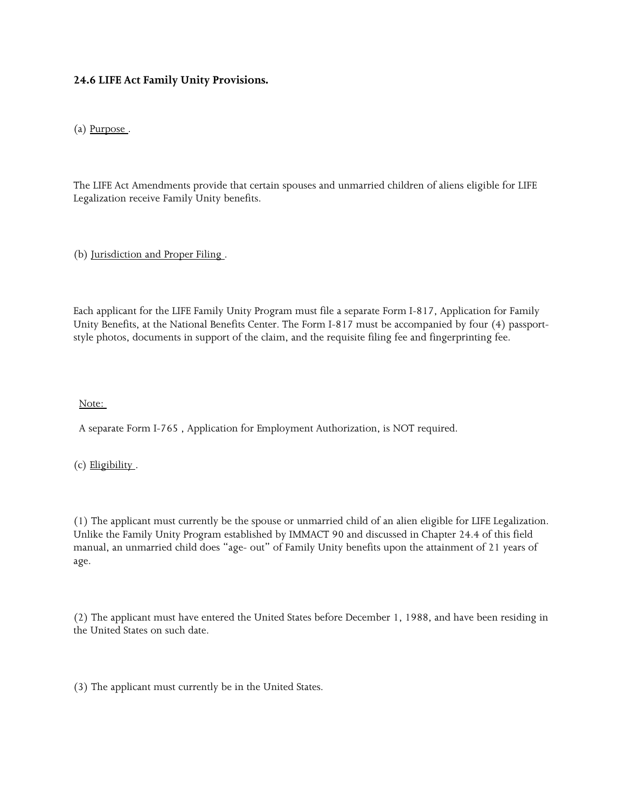## **24.6 LIFE Act Family Unity Provisions.**

(a) Purpose .

 The LIFE Act Amendments provide that certain spouses and unmarried children of aliens eligible for LIFE Legalization receive Family Unity benefits.

(b) Jurisdiction and Proper Filing .

 style photos, documents in support of the claim, and the requisite filing fee and fingerprinting fee. Each applicant for the LIFE Family Unity Program must file a separate Form I-817, Application for Family Unity Benefits, at the National Benefits Center. The Form I-817 must be accompanied by four (4) passport-

Note:

A separate Form I-765 , Application for Employment Authorization, is NOT required.

(c) Eligibility .

(1) The applicant must currently be the spouse or unmarried child of an alien eligible for LIFE Legalization. Unlike the Family Unity Program established by IMMACT 90 and discussed in Chapter 24.4 of this field manual, an unmarried child does "age- out" of Family Unity benefits upon the attainment of 21 years of age.

(2) The applicant must have entered the United States before December 1, 1988, and have been residing in the United States on such date.

(3) The applicant must currently be in the United States.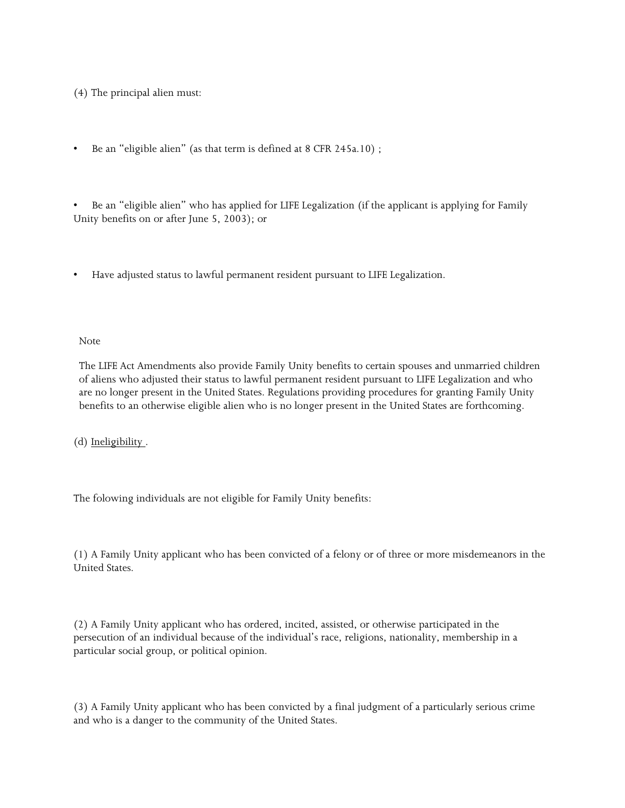(4) The principal alien must:

 $\bullet$ Be an "eligible alien" (as that term is defined at 8 CFR 245a.10);

 $\bullet$ • Be an "eligible alien" who has applied for LIFE Legalization (if the applicant is applying for Family Unity benefits on or after June 5, 2003); or

• Have adjusted status to lawful permanent resident pursuant to LIFE Legalization.

Note

 of aliens who adjusted their status to lawful permanent resident pursuant to LIFE Legalization and who The LIFE Act Amendments also provide Family Unity benefits to certain spouses and unmarried children are no longer present in the United States. Regulations providing procedures for granting Family Unity benefits to an otherwise eligible alien who is no longer present in the United States are forthcoming.

(d) Ineligibility .

The folowing individuals are not eligible for Family Unity benefits:

(1) A Family Unity applicant who has been convicted of a felony or of three or more misdemeanors in the United States.

(2) A Family Unity applicant who has ordered, incited, assisted, or otherwise participated in the persecution of an individual because of the individual's race, religions, nationality, membership in a particular social group, or political opinion.

(3) A Family Unity applicant who has been convicted by a final judgment of a particularly serious crime and who is a danger to the community of the United States.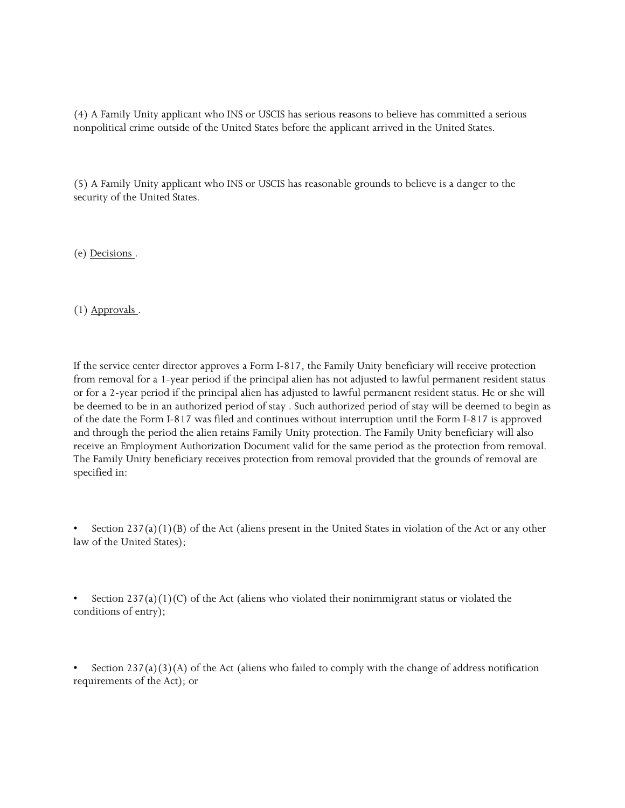(4) A Family Unity applicant who INS or USCIS has serious reasons to believe has committed a serious nonpolitical crime outside of the United States before the applicant arrived in the United States.

(5) A Family Unity applicant who INS or USCIS has reasonable grounds to believe is a danger to the security of the United States.

(e) Decisions .

(1) Approvals .

 from removal for a 1-year period if the principal alien has not adjusted to lawful permanent resident status or for a 2-year period if the principal alien has adjusted to lawful permanent resident status. He or she will receive an Employment Authorization Document valid for the same period as the protection from removal. The Family Unity beneficiary receives protection from removal provided that the grounds of removal are If the service center director approves a Form I-817, the Family Unity beneficiary will receive protection be deemed to be in an authorized period of stay . Such authorized period of stay will be deemed to begin as of the date the Form I-817 was filed and continues without interruption until the Form I-817 is approved and through the period the alien retains Family Unity protection. The Family Unity beneficiary will also specified in:

Section  $237(a)(1)(B)$  of the Act (aliens present in the United States in violation of the Act or any other law of the United States);

 conditions of entry); Section  $237(a)(1)(C)$  of the Act (aliens who violated their nonimmigrant status or violated the

 requirements of the Act); or Section  $237(a)(3)(A)$  of the Act (aliens who failed to comply with the change of address notification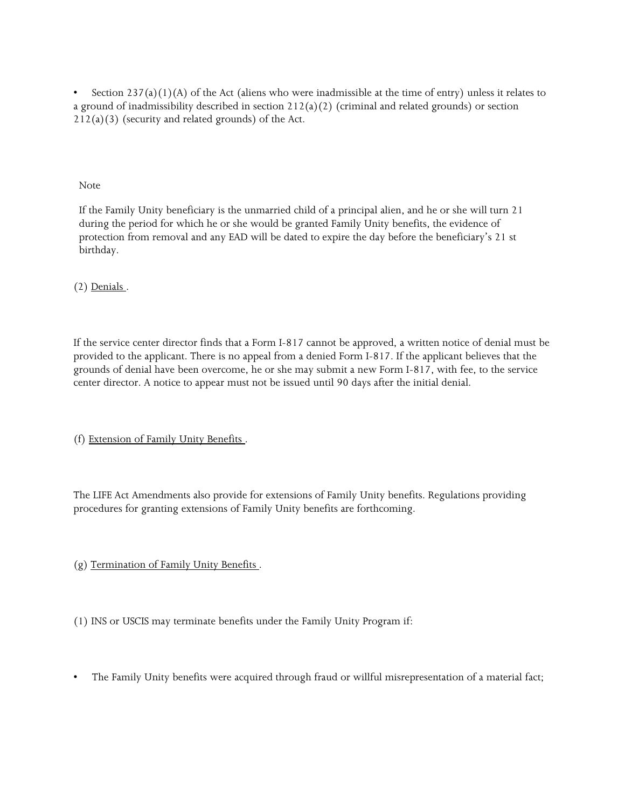a ground of inadmissibility described in section 212(a)(2) (criminal and related grounds) or section Section  $237(a)(1)(A)$  of the Act (aliens who were inadmissible at the time of entry) unless it relates to  $212(a)(3)$  (security and related grounds) of the Act.

Note

 during the period for which he or she would be granted Family Unity benefits, the evidence of protection from removal and any EAD will be dated to expire the day before the beneficiary's 21 st If the Family Unity beneficiary is the unmarried child of a principal alien, and he or she will turn 21 birthday.

(2) Denials .

 If the service center director finds that a Form I-817 cannot be approved, a written notice of denial must be provided to the applicant. There is no appeal from a denied Form I-817. If the applicant believes that the grounds of denial have been overcome, he or she may submit a new Form I-817, with fee, to the service center director. A notice to appear must not be issued until 90 days after the initial denial.

(f) Extension of Family Unity Benefits .

The LIFE Act Amendments also provide for extensions of Family Unity benefits. Regulations providing procedures for granting extensions of Family Unity benefits are forthcoming.

(g) Termination of Family Unity Benefits .

(1) INS or USCIS may terminate benefits under the Family Unity Program if:

• The Family Unity benefits were acquired through fraud or willful misrepresentation of a material fact;